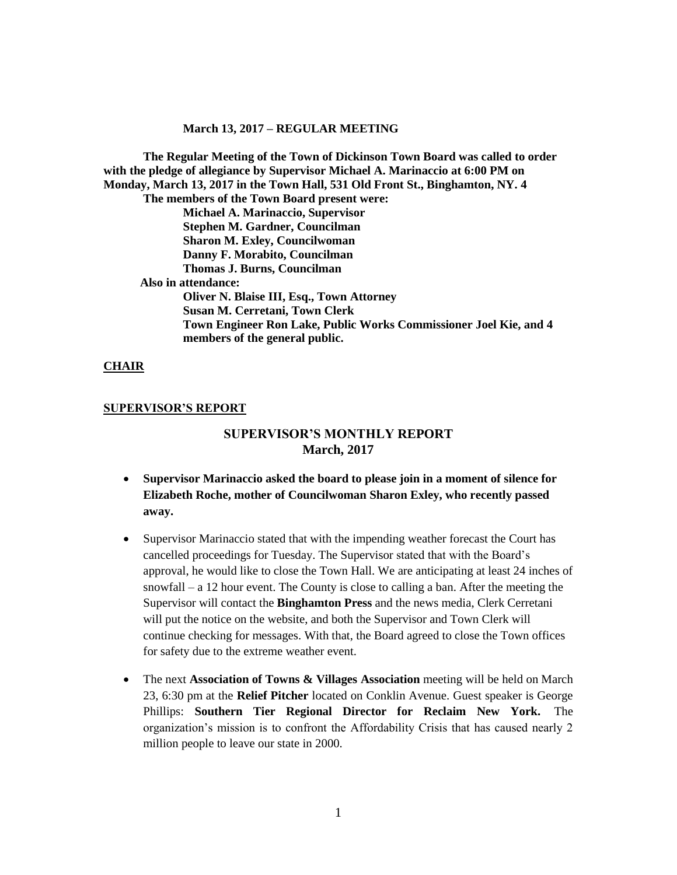**The Regular Meeting of the Town of Dickinson Town Board was called to order with the pledge of allegiance by Supervisor Michael A. Marinaccio at 6:00 PM on Monday, March 13, 2017 in the Town Hall, 531 Old Front St., Binghamton, NY. 4**

**The members of the Town Board present were: Michael A. Marinaccio, Supervisor Stephen M. Gardner, Councilman Sharon M. Exley, Councilwoman Danny F. Morabito, Councilman Thomas J. Burns, Councilman Also in attendance: Oliver N. Blaise III, Esq., Town Attorney Susan M. Cerretani, Town Clerk Town Engineer Ron Lake, Public Works Commissioner Joel Kie, and 4** 

**members of the general public.**

#### **CHAIR**

#### **SUPERVISOR'S REPORT**

# **SUPERVISOR'S MONTHLY REPORT March, 2017**

- **Supervisor Marinaccio asked the board to please join in a moment of silence for Elizabeth Roche, mother of Councilwoman Sharon Exley, who recently passed away.**
- Supervisor Marinaccio stated that with the impending weather forecast the Court has cancelled proceedings for Tuesday. The Supervisor stated that with the Board's approval, he would like to close the Town Hall. We are anticipating at least 24 inches of snowfall – a 12 hour event. The County is close to calling a ban. After the meeting the Supervisor will contact the **Binghamton Press** and the news media, Clerk Cerretani will put the notice on the website, and both the Supervisor and Town Clerk will continue checking for messages. With that, the Board agreed to close the Town offices for safety due to the extreme weather event.
- The next **Association of Towns & Villages Association** meeting will be held on March 23, 6:30 pm at the **Relief Pitcher** located on Conklin Avenue. Guest speaker is George Phillips: **Southern Tier Regional Director for Reclaim New York.** The organization's mission is to confront the Affordability Crisis that has caused nearly 2 million people to leave our state in 2000.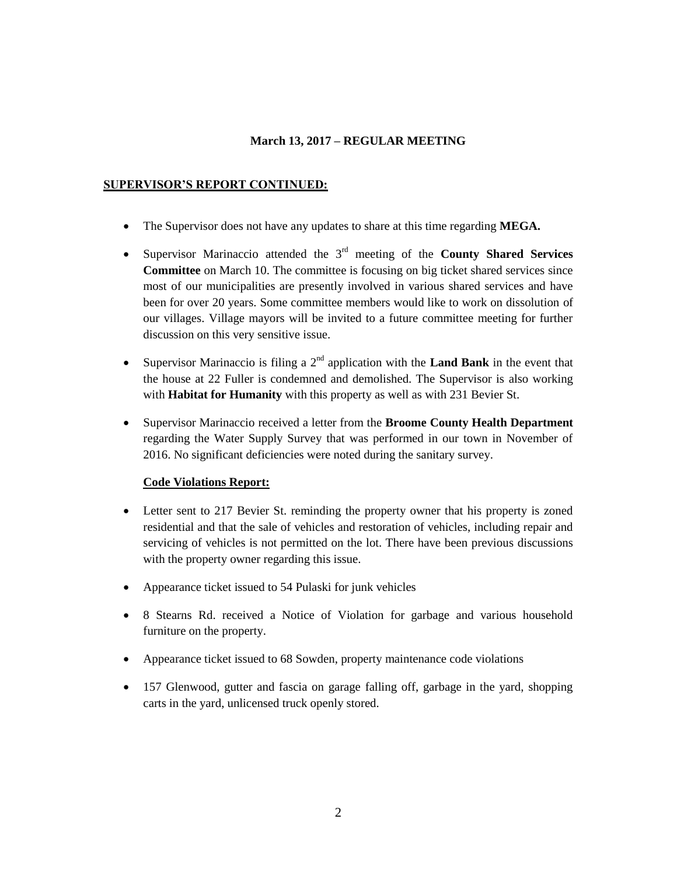### **SUPERVISOR'S REPORT CONTINUED:**

- The Supervisor does not have any updates to share at this time regarding **MEGA.**
- Supervisor Marinaccio attended the 3rd meeting of the **County Shared Services Committee** on March 10. The committee is focusing on big ticket shared services since most of our municipalities are presently involved in various shared services and have been for over 20 years. Some committee members would like to work on dissolution of our villages. Village mayors will be invited to a future committee meeting for further discussion on this very sensitive issue.
- Supervisor Marinaccio is filing a  $2<sup>nd</sup>$  application with the **Land Bank** in the event that the house at 22 Fuller is condemned and demolished. The Supervisor is also working with **Habitat for Humanity** with this property as well as with 231 Bevier St.
- Supervisor Marinaccio received a letter from the **Broome County Health Department** regarding the Water Supply Survey that was performed in our town in November of 2016. No significant deficiencies were noted during the sanitary survey.

### **Code Violations Report:**

- Letter sent to 217 Bevier St. reminding the property owner that his property is zoned residential and that the sale of vehicles and restoration of vehicles, including repair and servicing of vehicles is not permitted on the lot. There have been previous discussions with the property owner regarding this issue.
- Appearance ticket issued to 54 Pulaski for junk vehicles
- 8 Stearns Rd. received a Notice of Violation for garbage and various household furniture on the property.
- Appearance ticket issued to 68 Sowden, property maintenance code violations
- 157 Glenwood, gutter and fascia on garage falling off, garbage in the yard, shopping carts in the yard, unlicensed truck openly stored.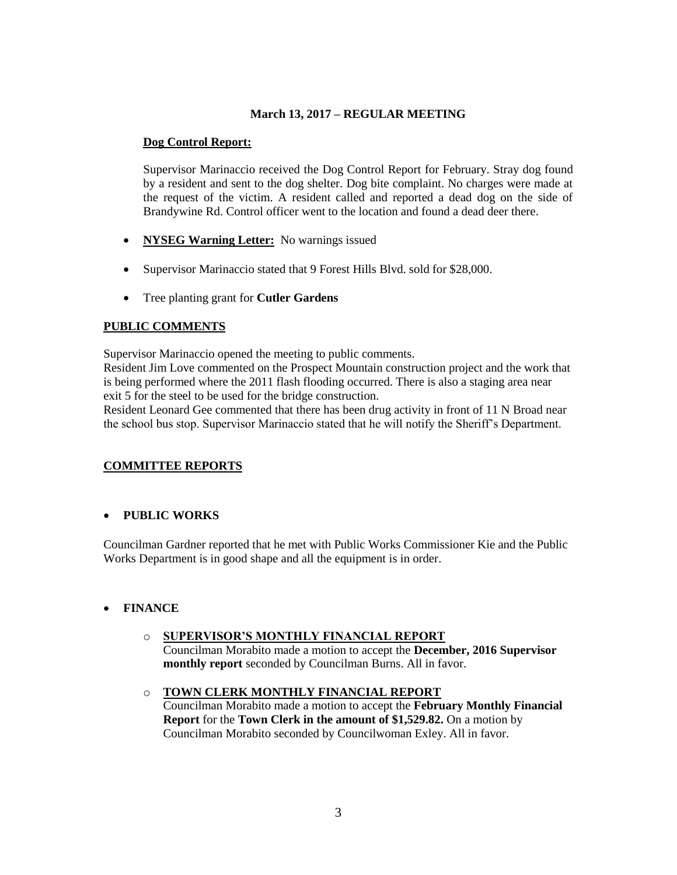### **Dog Control Report:**

Supervisor Marinaccio received the Dog Control Report for February. Stray dog found by a resident and sent to the dog shelter. Dog bite complaint. No charges were made at the request of the victim. A resident called and reported a dead dog on the side of Brandywine Rd. Control officer went to the location and found a dead deer there.

- **NYSEG Warning Letter:** No warnings issued
- Supervisor Marinaccio stated that 9 Forest Hills Blvd. sold for \$28,000.
- Tree planting grant for **Cutler Gardens**

## **PUBLIC COMMENTS**

Supervisor Marinaccio opened the meeting to public comments.

Resident Jim Love commented on the Prospect Mountain construction project and the work that is being performed where the 2011 flash flooding occurred. There is also a staging area near exit 5 for the steel to be used for the bridge construction.

Resident Leonard Gee commented that there has been drug activity in front of 11 N Broad near the school bus stop. Supervisor Marinaccio stated that he will notify the Sheriff's Department.

# **COMMITTEE REPORTS**

### **PUBLIC WORKS**

Councilman Gardner reported that he met with Public Works Commissioner Kie and the Public Works Department is in good shape and all the equipment is in order.

# **FINANCE**

### o **SUPERVISOR'S MONTHLY FINANCIAL REPORT**

Councilman Morabito made a motion to accept the **December, 2016 Supervisor monthly report** seconded by Councilman Burns. All in favor.

o **TOWN CLERK MONTHLY FINANCIAL REPORT** Councilman Morabito made a motion to accept the **February Monthly Financial Report** for the **Town Clerk in the amount of \$1,529.82.** On a motion by Councilman Morabito seconded by Councilwoman Exley. All in favor.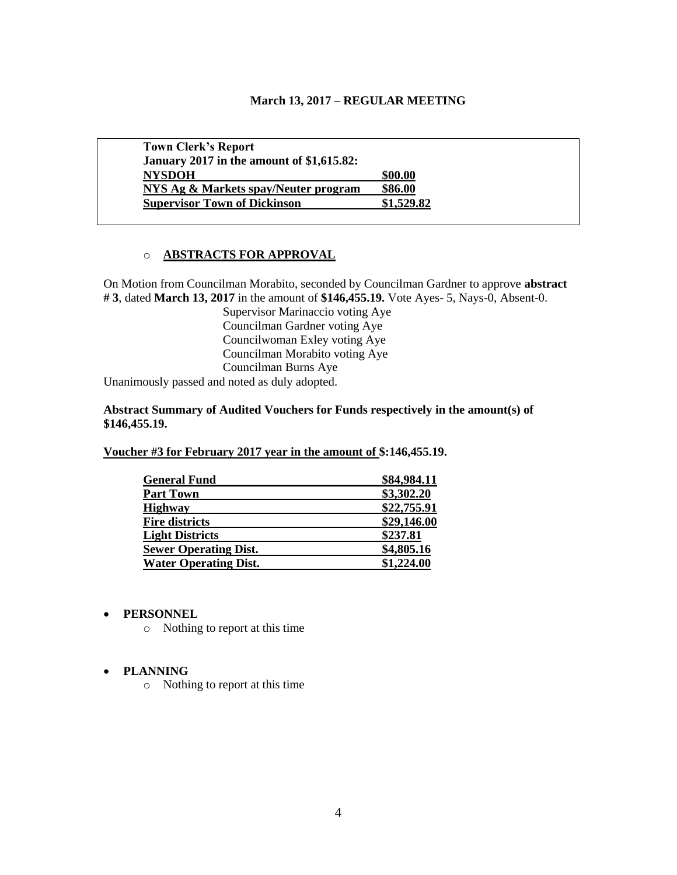| <b>Town Clerk's Report</b>                |            |
|-------------------------------------------|------------|
| January 2017 in the amount of \$1,615.82: |            |
| <b>NYSDOH</b>                             | \$00.00    |
| NYS Ag & Markets spay/Neuter program      | \$86.00    |
| <b>Supervisor Town of Dickinson</b>       | \$1,529.82 |

### o **ABSTRACTS FOR APPROVAL**

On Motion from Councilman Morabito, seconded by Councilman Gardner to approve **abstract # 3**, dated **March 13, 2017** in the amount of **\$146,455.19.** Vote Ayes- 5, Nays-0, Absent-0.

Supervisor Marinaccio voting Aye Councilman Gardner voting Aye Councilwoman Exley voting Aye Councilman Morabito voting Aye Councilman Burns Aye

Unanimously passed and noted as duly adopted.

**Abstract Summary of Audited Vouchers for Funds respectively in the amount(s) of \$146,455.19.**

**Voucher #3 for February 2017 year in the amount of \$:146,455.19.** 

| <b>General Fund</b>          | \$84,984.11 |
|------------------------------|-------------|
| <b>Part Town</b>             | \$3,302.20  |
| <b>Highway</b>               | \$22,755.91 |
| <b>Fire districts</b>        | \$29,146.00 |
| <b>Light Districts</b>       | \$237.81    |
| <b>Sewer Operating Dist.</b> | \$4,805.16  |
| <b>Water Operating Dist.</b> | \$1,224.00  |

#### **PERSONNEL**

o Nothing to report at this time

#### **PLANNING**

o Nothing to report at this time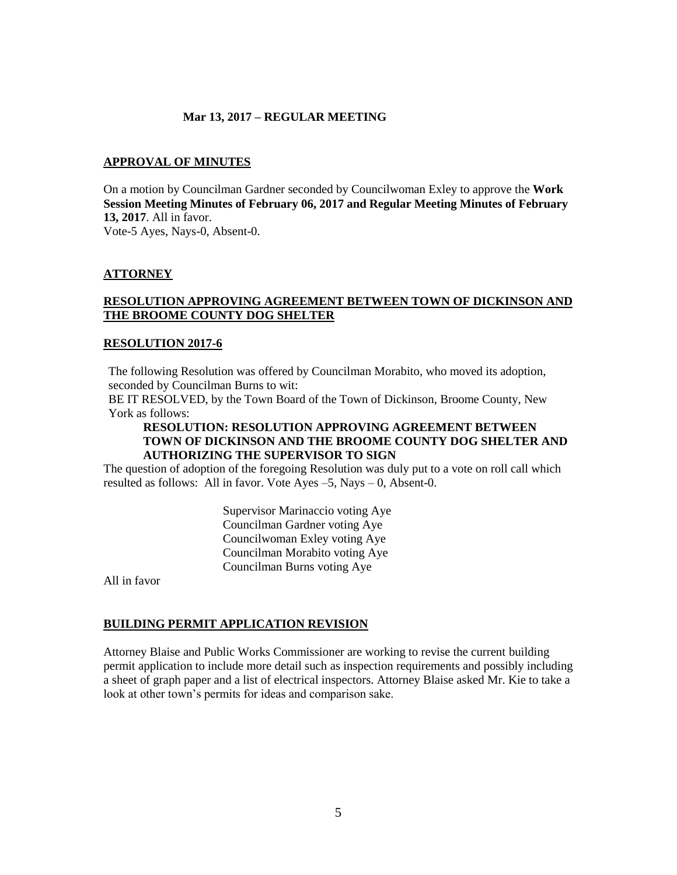#### **APPROVAL OF MINUTES**

On a motion by Councilman Gardner seconded by Councilwoman Exley to approve the **Work Session Meeting Minutes of February 06, 2017 and Regular Meeting Minutes of February 13, 2017**. All in favor.

Vote-5 Ayes, Nays-0, Absent-0.

### **ATTORNEY**

### **RESOLUTION APPROVING AGREEMENT BETWEEN TOWN OF DICKINSON AND THE BROOME COUNTY DOG SHELTER**

#### **RESOLUTION 2017-6**

The following Resolution was offered by Councilman Morabito, who moved its adoption, seconded by Councilman Burns to wit:

BE IT RESOLVED, by the Town Board of the Town of Dickinson, Broome County, New York as follows:

### **RESOLUTION: RESOLUTION APPROVING AGREEMENT BETWEEN TOWN OF DICKINSON AND THE BROOME COUNTY DOG SHELTER AND AUTHORIZING THE SUPERVISOR TO SIGN**

The question of adoption of the foregoing Resolution was duly put to a vote on roll call which resulted as follows: All in favor. Vote Ayes –5, Nays – 0, Absent-0.

> Supervisor Marinaccio voting Aye Councilman Gardner voting Aye Councilwoman Exley voting Aye Councilman Morabito voting Aye Councilman Burns voting Aye

All in favor

#### **BUILDING PERMIT APPLICATION REVISION**

Attorney Blaise and Public Works Commissioner are working to revise the current building permit application to include more detail such as inspection requirements and possibly including a sheet of graph paper and a list of electrical inspectors. Attorney Blaise asked Mr. Kie to take a look at other town's permits for ideas and comparison sake.